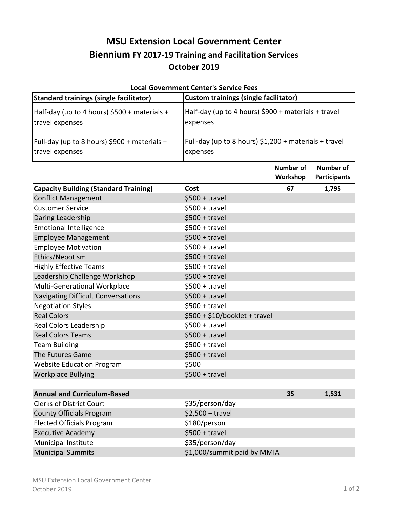## **MSU Extension Local Government Center Biennium FY 2017-19 Training and Facilitation Services October 2019**

| <b>Local Government Center's Service Fees</b>  |                                                        |                  |                     |  |  |
|------------------------------------------------|--------------------------------------------------------|------------------|---------------------|--|--|
| <b>Standard trainings (single facilitator)</b> | <b>Custom trainings (single facilitator)</b>           |                  |                     |  |  |
| Half-day (up to 4 hours) \$500 + materials +   | Half-day (up to 4 hours) \$900 + materials + travel    |                  |                     |  |  |
| travel expenses                                | expenses                                               |                  |                     |  |  |
| Full-day (up to 8 hours) \$900 + materials +   | Full-day (up to 8 hours) $$1,200 + materials + travel$ |                  |                     |  |  |
| travel expenses                                | expenses                                               |                  |                     |  |  |
|                                                |                                                        | <b>Number of</b> | Number of           |  |  |
|                                                |                                                        | Workshop         | <b>Participants</b> |  |  |
| <b>Capacity Building (Standard Training)</b>   | Cost                                                   | 67               | 1,795               |  |  |
| <b>Conflict Management</b>                     | $$500 + travel$                                        |                  |                     |  |  |
| <b>Customer Service</b>                        | $$500 + travel$                                        |                  |                     |  |  |
| Daring Leadership                              | $$500 + travel$                                        |                  |                     |  |  |
| <b>Emotional Intelligence</b>                  | $$500 + travel$                                        |                  |                     |  |  |
| <b>Employee Management</b>                     | $$500 + travel$                                        |                  |                     |  |  |
| <b>Employee Motivation</b>                     | $$500 + travel$                                        |                  |                     |  |  |
| Ethics/Nepotism                                | $$500 + travel$                                        |                  |                     |  |  |
| <b>Highly Effective Teams</b>                  | $$500 + travel$                                        |                  |                     |  |  |
| Leadership Challenge Workshop                  | $$500 + travel$                                        |                  |                     |  |  |
| Multi-Generational Workplace                   | $$500 + travel$                                        |                  |                     |  |  |
| <b>Navigating Difficult Conversations</b>      | $$500 + travel$                                        |                  |                     |  |  |
| <b>Negotiation Styles</b>                      | $$500 + travel$                                        |                  |                     |  |  |
| <b>Real Colors</b>                             | $$500 + $10/b$ ooklet + travel                         |                  |                     |  |  |
| Real Colors Leadership                         | $$500 + travel$                                        |                  |                     |  |  |
| <b>Real Colors Teams</b>                       | $$500 + travel$                                        |                  |                     |  |  |
| <b>Team Building</b>                           | $$500 + travel$                                        |                  |                     |  |  |
| The Futures Game                               | $$500 + travel$                                        |                  |                     |  |  |
| <b>Website Education Program</b>               | \$500                                                  |                  |                     |  |  |
| <b>Workplace Bullying</b>                      | $$500 + travel$                                        |                  |                     |  |  |
| <b>Annual and Curriculum-Based</b>             |                                                        | 35               | 1,531               |  |  |
| <b>Clerks of District Court</b>                | \$35/person/day                                        |                  |                     |  |  |
| <b>County Officials Program</b>                | $$2,500 + travel$                                      |                  |                     |  |  |
| <b>Elected Officials Program</b>               | \$180/person                                           |                  |                     |  |  |
| <b>Executive Academy</b>                       | $$500 + travel$                                        |                  |                     |  |  |
| Municipal Institute                            | \$35/person/day                                        |                  |                     |  |  |
| <b>Municipal Summits</b>                       | \$1,000/summit paid by MMIA                            |                  |                     |  |  |